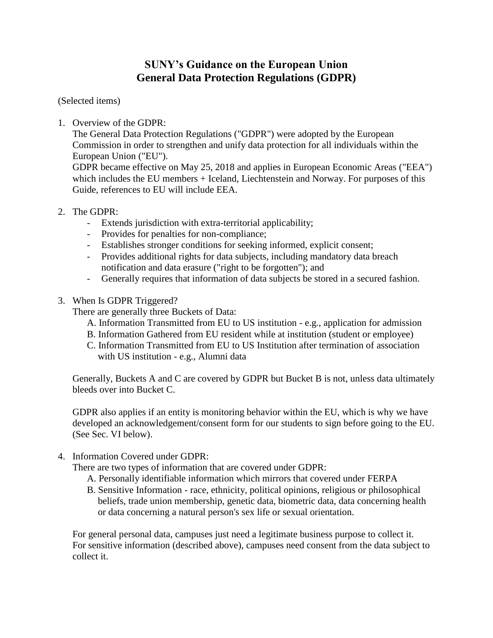## **SUNY's Guidance on the European Union General Data Protection Regulations (GDPR)**

## (Selected items)

1. Overview of the GDPR:

The General Data Protection Regulations ("GDPR") were adopted by the European Commission in order to strengthen and unify data protection for all individuals within the European Union ("EU").

GDPR became effective on May 25, 2018 and applies in European Economic Areas ("EEA") which includes the EU members + Iceland, Liechtenstein and Norway. For purposes of this Guide, references to EU will include EEA.

- 2. The GDPR:
	- Extends jurisdiction with extra-territorial applicability;
	- Provides for penalties for non-compliance;
	- Establishes stronger conditions for seeking informed, explicit consent;
	- Provides additional rights for data subjects, including mandatory data breach notification and data erasure ("right to be forgotten"); and
	- Generally requires that information of data subjects be stored in a secured fashion.
- 3. When Is GDPR Triggered?

There are generally three Buckets of Data:

- A. Information Transmitted from EU to US institution e.g., application for admission
- B. Information Gathered from EU resident while at institution (student or employee)
- C. Information Transmitted from EU to US Institution after termination of association with US institution - e.g., Alumni data

Generally, Buckets A and C are covered by GDPR but Bucket B is not, unless data ultimately bleeds over into Bucket C.

GDPR also applies if an entity is monitoring behavior within the EU, which is why we have developed an acknowledgement/consent form for our students to sign before going to the EU. (See Sec. VI below).

4. Information Covered under GDPR:

There are two types of information that are covered under GDPR:

- A. Personally identifiable information which mirrors that covered under FERPA
- B. Sensitive Information race, ethnicity, political opinions, religious or philosophical beliefs, trade union membership, genetic data, biometric data, data concerning health or data concerning a natural person's sex life or sexual orientation.

For general personal data, campuses just need a legitimate business purpose to collect it. For sensitive information (described above), campuses need consent from the data subject to collect it.